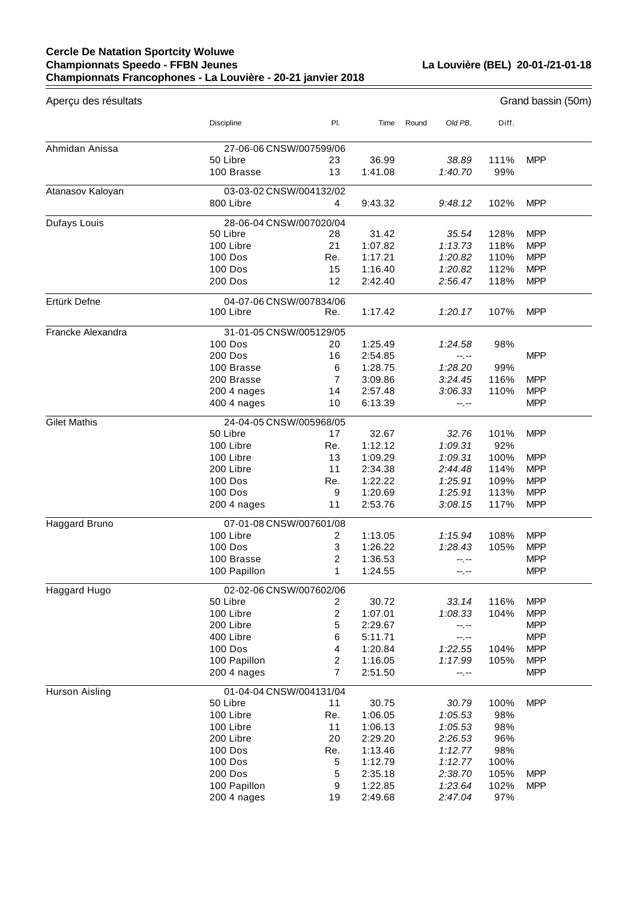## **Cercle De Natation Sportcity Woluwe Championnats Speedo - FFBN Jeunes Championnats Francophones - La Louvière - 20-21 janvier 2018**

**La Louvière (BEL) 20-01-/21-01-18**

| Aperçu des résultats |                                      |                         |                  |       |                  |             | Grand bassin (50m) |  |
|----------------------|--------------------------------------|-------------------------|------------------|-------|------------------|-------------|--------------------|--|
|                      | Discipline                           | PI.                     | Time             | Round | Old PB.          | Diff.       |                    |  |
| Ahmidan Anissa       | 27-06-06 CNSW/007599/06              |                         |                  |       |                  |             |                    |  |
|                      | 50 Libre<br>100 Brasse               | 23<br>13                | 36.99<br>1:41.08 |       | 38.89<br>1:40.70 | 111%<br>99% | <b>MPP</b>         |  |
| Atanasov Kaloyan     | 03-03-02 CNSW/004132/02<br>800 Libre | 4                       | 9:43.32          |       | 9:48.12          | 102%        | <b>MPP</b>         |  |
| Dufays Louis         | 28-06-04 CNSW/007020/04              |                         |                  |       |                  |             |                    |  |
|                      | 50 Libre                             | 28                      | 31.42            |       | 35.54            | 128%        | <b>MPP</b>         |  |
|                      | 100 Libre                            | 21                      | 1:07.82          |       | 1:13.73          | 118%        | <b>MPP</b>         |  |
|                      | <b>100 Dos</b>                       | Re.                     | 1:17.21          |       | 1:20.82          | 110%        | <b>MPP</b>         |  |
|                      | 100 Dos                              | 15                      | 1:16.40          |       | 1:20.82          | 112%        | <b>MPP</b>         |  |
|                      | 200 Dos                              | 12                      | 2:42.40          |       | 2:56.47          | 118%        | <b>MPP</b>         |  |
| Ertürk Defne         | 04-07-06 CNSW/007834/06              |                         |                  |       |                  |             |                    |  |
|                      | 100 Libre                            | Re.                     | 1:17.42          |       | 1:20.17          | 107%        | <b>MPP</b>         |  |
| Francke Alexandra    | 31-01-05 CNSW/005129/05              |                         |                  |       |                  |             |                    |  |
|                      | <b>100 Dos</b>                       | 20                      | 1:25.49          |       | 1:24.58          | 98%         |                    |  |
|                      | 200 Dos                              | 16                      | 2:54.85          |       | $-1 - 1 - 1 = 0$ |             | <b>MPP</b>         |  |
|                      | 100 Brasse                           | 6                       | 1:28.75          |       | 1:28.20          | 99%         |                    |  |
|                      | 200 Brasse                           | $\overline{7}$          | 3:09.86          |       | 3:24.45          | 116%        | <b>MPP</b>         |  |
|                      | 200 4 nages                          | 14                      | 2:57.48          |       | 3:06.33          | 110%        | <b>MPP</b>         |  |
|                      | 400 4 nages                          | 10                      | 6:13.39          |       | --.--            |             | <b>MPP</b>         |  |
| <b>Gilet Mathis</b>  | 24-04-05 CNSW/005968/05              |                         |                  |       |                  |             |                    |  |
|                      | 50 Libre                             | 17                      | 32.67            |       | 32.76            | 101%        | <b>MPP</b>         |  |
|                      | 100 Libre                            | Re.                     | 1:12.12          |       | 1:09.31          | 92%         |                    |  |
|                      | 100 Libre                            | 13                      | 1:09.29          |       | 1:09.31          | 100%        | <b>MPP</b>         |  |
|                      | 200 Libre                            | 11                      | 2:34.38          |       | 2:44.48          | 114%        | <b>MPP</b>         |  |
|                      | 100 Dos                              | Re.                     | 1:22.22          |       | 1:25.91          | 109%        | <b>MPP</b>         |  |
|                      | 100 Dos                              | 9                       | 1:20.69          |       | 1:25.91          | 113%        | <b>MPP</b>         |  |
|                      | 200 4 nages                          | 11                      | 2:53.76          |       | 3:08.15          | 117%        | <b>MPP</b>         |  |
| Haggard Bruno        | 07-01-08 CNSW/007601/08              |                         |                  |       |                  |             |                    |  |
|                      | 100 Libre                            | 2                       | 1:13.05          |       | 1:15.94          | 108%        | <b>MPP</b>         |  |
|                      | <b>100 Dos</b>                       | 3                       | 1:26.22          |       | 1:28.43          | 105%        | <b>MPP</b>         |  |
|                      | 100 Brasse                           | 2                       | 1:36.53          |       |                  |             | <b>MPP</b>         |  |
|                      | 100 Papillon                         | 1                       | 1:24.55          |       | --.--            |             | <b>MPP</b>         |  |
| Haggard Hugo         | 02-02-06 CNSW/007602/06              |                         |                  |       |                  |             |                    |  |
|                      | 50 Libre                             | 2                       | 30.72            |       | 33.14            | 116%        | <b>MPP</b>         |  |
|                      | 100 Libre                            | $\overline{\mathbf{c}}$ | 1:07.01          |       | 1:08.33          | 104%        | <b>MPP</b>         |  |
|                      | 200 Libre                            | 5                       | 2:29.67          |       | --.--            |             | <b>MPP</b>         |  |
|                      | 400 Libre                            | 6                       | 5:11.71          |       | $-1, -1$         |             | <b>MPP</b>         |  |
|                      | 100 Dos                              | 4                       | 1:20.84          |       | 1:22.55          | 104%        | <b>MPP</b>         |  |
|                      | 100 Papillon                         | 2                       | 1:16.05          |       | 1:17.99          | 105%        | <b>MPP</b>         |  |
|                      | 200 4 nages                          | $\overline{7}$          | 2:51.50          |       | $-1, -1$         |             | <b>MPP</b>         |  |
| Hurson Aisling       | 01-04-04 CNSW/004131/04              |                         |                  |       |                  |             |                    |  |
|                      | 50 Libre                             | 11                      | 30.75            |       | 30.79            | 100%        | <b>MPP</b>         |  |
|                      | 100 Libre                            | Re.                     | 1:06.05          |       | 1:05.53          | 98%         |                    |  |
|                      | 100 Libre                            | 11                      | 1:06.13          |       | 1:05.53          | 98%         |                    |  |
|                      | 200 Libre                            | 20                      | 2:29.20          |       | 2:26.53          | 96%         |                    |  |
|                      | 100 Dos                              | Re.                     | 1:13.46          |       | 1:12.77          | 98%         |                    |  |
|                      | 100 Dos                              | 5                       | 1:12.79          |       | 1:12.77          | 100%        |                    |  |
|                      | 200 Dos                              | 5                       | 2:35.18          |       | 2:38.70          | 105%        | <b>MPP</b>         |  |
|                      | 100 Papillon                         | 9                       | 1:22.85          |       | 1:23.64          | 102%        | <b>MPP</b>         |  |
|                      | 200 4 nages                          | 19                      | 2:49.68          |       | 2:47.04          | 97%         |                    |  |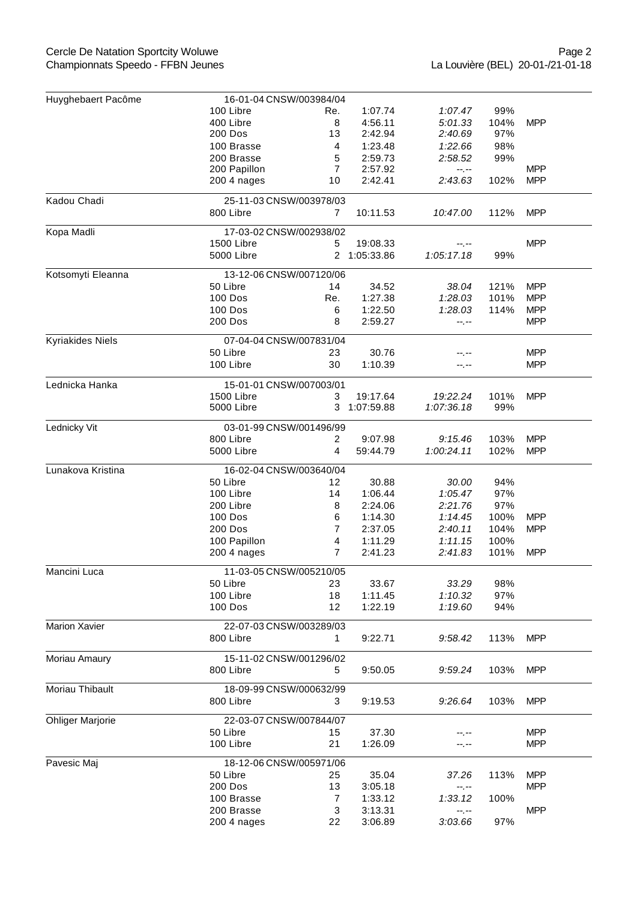| Huyghebaert Pacôme      | 16-01-04 CNSW/003984/04 |                |              |                     |      |            |  |  |  |
|-------------------------|-------------------------|----------------|--------------|---------------------|------|------------|--|--|--|
|                         | 100 Libre               | Re.            | 1:07.74      | 1:07.47             | 99%  |            |  |  |  |
|                         | 400 Libre               | 8              | 4:56.11      | 5:01.33             | 104% | <b>MPP</b> |  |  |  |
|                         | 200 Dos                 | 13             | 2:42.94      | 2:40.69             | 97%  |            |  |  |  |
|                         | 100 Brasse              | 4              | 1:23.48      | 1:22.66             | 98%  |            |  |  |  |
|                         | 200 Brasse              | 5              | 2:59.73      | 2:58.52             | 99%  |            |  |  |  |
|                         | 200 Papillon            | $\overline{7}$ | 2:57.92      | $-1, -1$            |      | <b>MPP</b> |  |  |  |
|                         | 200 4 nages             | 10             | 2:42.41      | 2:43.63             | 102% | <b>MPP</b> |  |  |  |
| Kadou Chadi             | 25-11-03 CNSW/003978/03 |                |              |                     |      |            |  |  |  |
|                         | 800 Libre               | $\overline{7}$ | 10:11.53     | 10:47.00            | 112% | <b>MPP</b> |  |  |  |
| Kopa Madli              | 17-03-02 CNSW/002938/02 |                |              |                     |      |            |  |  |  |
|                         | 1500 Libre              | 5              | 19:08.33     | $-1, -1$            |      | <b>MPP</b> |  |  |  |
|                         | 5000 Libre              |                | 2 1:05:33.86 | 1:05:17.18          | 99%  |            |  |  |  |
| Kotsomyti Eleanna       | 13-12-06 CNSW/007120/06 |                |              |                     |      |            |  |  |  |
|                         | 50 Libre                | 14             | 34.52        | 38.04               | 121% | <b>MPP</b> |  |  |  |
|                         | 100 Dos                 | Re.            | 1:27.38      | 1:28.03             | 101% | <b>MPP</b> |  |  |  |
|                         | 100 Dos                 | 6              | 1:22.50      | 1:28.03             | 114% | <b>MPP</b> |  |  |  |
|                         | 200 Dos                 | 8              | 2:59.27      | --.--               |      | <b>MPP</b> |  |  |  |
| Kyriakides Niels        | 07-04-04 CNSW/007831/04 |                |              |                     |      |            |  |  |  |
|                         | 50 Libre                | 23             | 30.76        | --.--               |      | <b>MPP</b> |  |  |  |
|                         | 100 Libre               | 30             | 1:10.39      | --.--               |      | <b>MPP</b> |  |  |  |
| Lednicka Hanka          | 15-01-01 CNSW/007003/01 |                |              |                     |      |            |  |  |  |
|                         | 1500 Libre              | 3              | 19:17.64     | 19:22.24            | 101% | <b>MPP</b> |  |  |  |
|                         | 5000 Libre              |                | 3 1:07:59.88 | 1:07:36.18          | 99%  |            |  |  |  |
| Lednicky Vit            | 03-01-99 CNSW/001496/99 |                |              |                     |      |            |  |  |  |
|                         | 800 Libre               | $\overline{2}$ | 9:07.98      | 9:15.46             | 103% | <b>MPP</b> |  |  |  |
|                         | 5000 Libre              | 4              | 59:44.79     | 1:00:24.11          | 102% | <b>MPP</b> |  |  |  |
| Lunakova Kristina       | 16-02-04 CNSW/003640/04 |                |              |                     |      |            |  |  |  |
|                         | 50 Libre                | 12             | 30.88        | 30.00               | 94%  |            |  |  |  |
|                         | 100 Libre               | 14             | 1:06.44      | 1:05.47             | 97%  |            |  |  |  |
|                         | 200 Libre               | 8              | 2:24.06      | 2:21.76             | 97%  |            |  |  |  |
|                         | 100 Dos                 | 6              | 1:14.30      | 1:14.45             | 100% | <b>MPP</b> |  |  |  |
|                         | 200 Dos                 | $\overline{7}$ | 2:37.05      | 2:40.11             | 104% | <b>MPP</b> |  |  |  |
|                         | 100 Papillon            | 4              | 1:11.29      | 1:11.15             | 100% |            |  |  |  |
|                         | 200 4 nages             | $\overline{7}$ | 2:41.23      | 2:41.83             | 101% | <b>MPP</b> |  |  |  |
| Mancini Luca            | 11-03-05 CNSW/005210/05 |                |              |                     |      |            |  |  |  |
|                         | 50 Libre                | 23             | 33.67        | 33.29               | 98%  |            |  |  |  |
|                         | 100 Libre               | 18             | 1:11.45      | 1:10.32             | 97%  |            |  |  |  |
|                         | 100 Dos                 | 12             | 1:22.19      | 1:19.60             | 94%  |            |  |  |  |
| <b>Marion Xavier</b>    | 22-07-03 CNSW/003289/03 |                |              |                     |      |            |  |  |  |
|                         | 800 Libre               | 1.             | 9:22.71      | 9:58.42             | 113% | <b>MPP</b> |  |  |  |
| Moriau Amaury           | 15-11-02 CNSW/001296/02 |                |              |                     |      |            |  |  |  |
|                         | 800 Libre               | 5              | 9:50.05      | 9:59.24             | 103% | <b>MPP</b> |  |  |  |
| Moriau Thibault         | 18-09-99 CNSW/000632/99 |                |              |                     |      |            |  |  |  |
|                         | 800 Libre               | 3              | 9:19.53      | 9:26.64             | 103% | <b>MPP</b> |  |  |  |
| <b>Ohliger Marjorie</b> | 22-03-07 CNSW/007844/07 |                |              |                     |      |            |  |  |  |
|                         | 50 Libre                | 15             | 37.30        |                     |      | <b>MPP</b> |  |  |  |
|                         | 100 Libre               | 21             | 1:26.09      | --.--               |      | <b>MPP</b> |  |  |  |
| Pavesic Maj             | 18-12-06 CNSW/005971/06 |                |              |                     |      |            |  |  |  |
|                         | 50 Libre                | 25             | 35.04        | 37.26               | 113% | <b>MPP</b> |  |  |  |
|                         | 200 Dos                 | 13             | 3:05.18      |                     |      | <b>MPP</b> |  |  |  |
|                         | 100 Brasse              | 7              | 1:33.12      | $-1, -1$<br>1:33.12 | 100% |            |  |  |  |
|                         | 200 Brasse              | 3              | 3:13.31      |                     |      | <b>MPP</b> |  |  |  |
|                         | 200 4 nages             | 22             | 3:06.89      | --.--<br>3:03.66    | 97%  |            |  |  |  |
|                         |                         |                |              |                     |      |            |  |  |  |